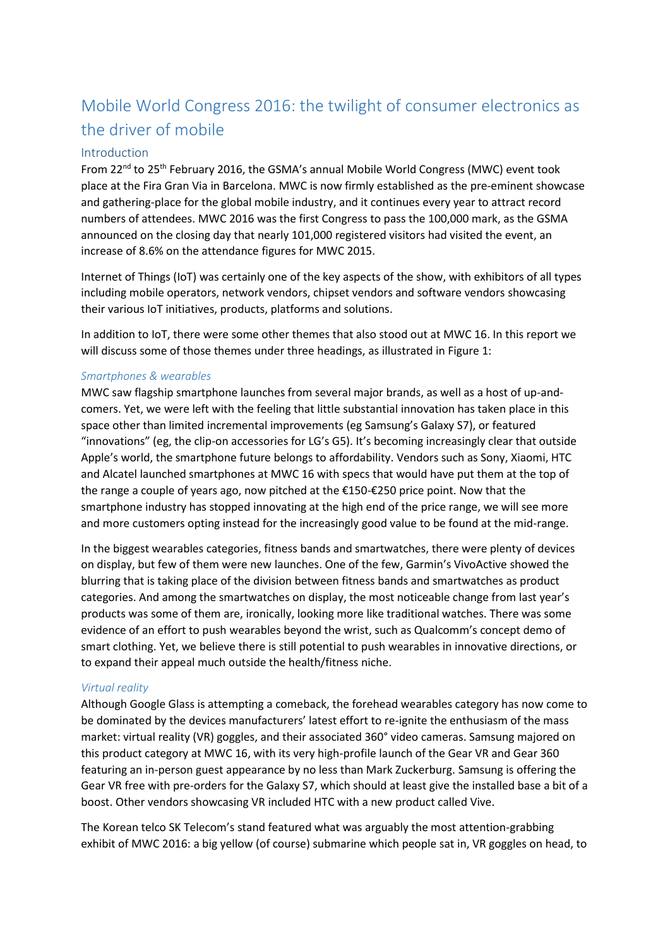# Mobile World Congress 2016: the twilight of consumer electronics as the driver of mobile

# Introduction

From  $22^{nd}$  to  $25^{th}$  February 2016, the GSMA's annual Mobile World Congress (MWC) event took place at the Fira Gran Via in Barcelona. MWC is now firmly established as the pre-eminent showcase and gathering-place for the global mobile industry, and it continues every year to attract record numbers of attendees. MWC 2016 was the first Congress to pass the 100,000 mark, as the GSMA announced on the closing day that nearly 101,000 registered visitors had visited the event, an increase of 8.6% on the attendance figures for MWC 2015.

Internet of Things (IoT) was certainly one of the key aspects of the show, with exhibitors of all types including mobile operators, network vendors, chipset vendors and software vendors showcasing their various IoT initiatives, products, platforms and solutions.

In addition to IoT, there were some other themes that also stood out at MWC 16. In this report we will discuss some of those themes under three headings, as illustrated in Figure 1:

# *Smartphones & wearables*

MWC saw flagship smartphone launches from several major brands, as well as a host of up-andcomers. Yet, we were left with the feeling that little substantial innovation has taken place in this space other than limited incremental improvements (eg Samsung's Galaxy S7), or featured "innovations" (eg, the clip-on accessories for LG's G5). It's becoming increasingly clear that outside Apple's world, the smartphone future belongs to affordability. Vendors such as Sony, Xiaomi, HTC and Alcatel launched smartphones at MWC 16 with specs that would have put them at the top of the range a couple of years ago, now pitched at the €150-€250 price point. Now that the smartphone industry has stopped innovating at the high end of the price range, we will see more and more customers opting instead for the increasingly good value to be found at the mid-range.

In the biggest wearables categories, fitness bands and smartwatches, there were plenty of devices on display, but few of them were new launches. One of the few, Garmin's VivoActive showed the blurring that is taking place of the division between fitness bands and smartwatches as product categories. And among the smartwatches on display, the most noticeable change from last year's products was some of them are, ironically, looking more like traditional watches. There was some evidence of an effort to push wearables beyond the wrist, such as Qualcomm's concept demo of smart clothing. Yet, we believe there is still potential to push wearables in innovative directions, or to expand their appeal much outside the health/fitness niche.

# *Virtual reality*

Although Google Glass is attempting a comeback, the forehead wearables category has now come to be dominated by the devices manufacturers' latest effort to re-ignite the enthusiasm of the mass market: virtual reality (VR) goggles, and their associated 360° video cameras. Samsung majored on this product category at MWC 16, with its very high-profile launch of the Gear VR and Gear 360 featuring an in-person guest appearance by no less than Mark Zuckerburg. Samsung is offering the Gear VR free with pre-orders for the Galaxy S7, which should at least give the installed base a bit of a boost. Other vendors showcasing VR included HTC with a new product called Vive.

The Korean telco SK Telecom's stand featured what was arguably the most attention-grabbing exhibit of MWC 2016: a big yellow (of course) submarine which people sat in, VR goggles on head, to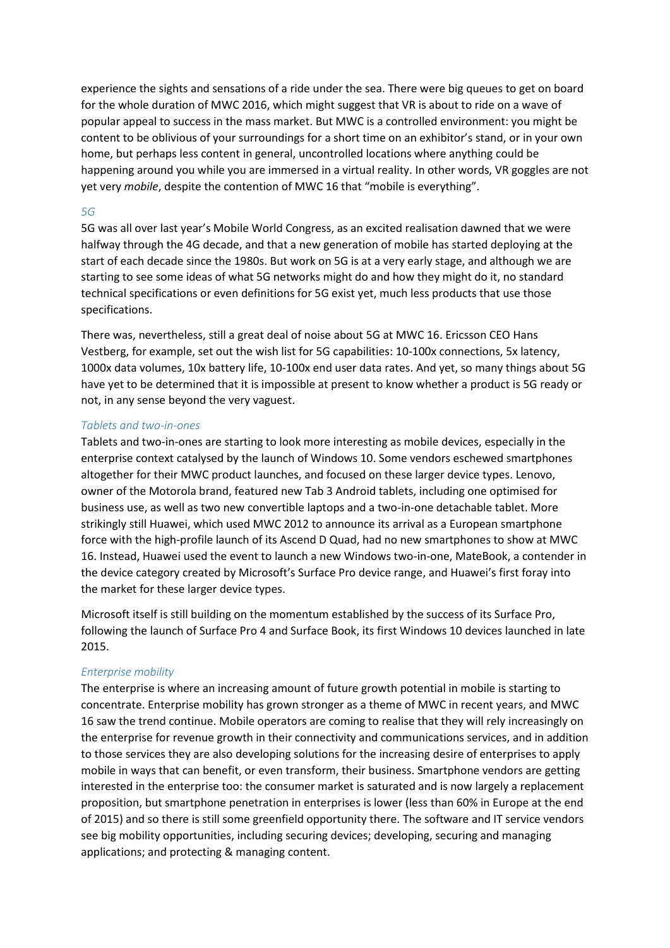experience the sights and sensations of a ride under the sea. There were big queues to get on board for the whole duration of MWC 2016, which might suggest that VR is about to ride on a wave of popular appeal to success in the mass market. But MWC is a controlled environment: you might be content to be oblivious of your surroundings for a short time on an exhibitor's stand, or in your own home, but perhaps less content in general, uncontrolled locations where anything could be happening around you while you are immersed in a virtual reality. In other words, VR goggles are not yet very *mobile*, despite the contention of MWC 16 that "mobile is everything".

#### *5G*

5G was all over last year's Mobile World Congress, as an excited realisation dawned that we were halfway through the 4G decade, and that a new generation of mobile has started deploying at the start of each decade since the 1980s. But work on 5G is at a very early stage, and although we are starting to see some ideas of what 5G networks might do and how they might do it, no standard technical specifications or even definitions for 5G exist yet, much less products that use those specifications.

There was, nevertheless, still a great deal of noise about 5G at MWC 16. Ericsson CEO Hans Vestberg, for example, set out the wish list for 5G capabilities: 10-100x connections, 5x latency, 1000x data volumes, 10x battery life, 10-100x end user data rates. And yet, so many things about 5G have yet to be determined that it is impossible at present to know whether a product is 5G ready or not, in any sense beyond the very vaguest.

# *Tablets and two-in-ones*

Tablets and two-in-ones are starting to look more interesting as mobile devices, especially in the enterprise context catalysed by the launch of Windows 10. Some vendors eschewed smartphones altogether for their MWC product launches, and focused on these larger device types. Lenovo, owner of the Motorola brand, featured new Tab 3 Android tablets, including one optimised for business use, as well as two new convertible laptops and a two-in-one detachable tablet. More strikingly still Huawei, which used MWC 2012 to announce its arrival as a European smartphone force with the high-profile launch of its Ascend D Quad, had no new smartphones to show at MWC 16. Instead, Huawei used the event to launch a new Windows two-in-one, MateBook, a contender in the device category created by Microsoft's Surface Pro device range, and Huawei's first foray into the market for these larger device types.

Microsoft itself is still building on the momentum established by the success of its Surface Pro, following the launch of Surface Pro 4 and Surface Book, its first Windows 10 devices launched in late 2015.

# *Enterprise mobility*

The enterprise is where an increasing amount of future growth potential in mobile is starting to concentrate. Enterprise mobility has grown stronger as a theme of MWC in recent years, and MWC 16 saw the trend continue. Mobile operators are coming to realise that they will rely increasingly on the enterprise for revenue growth in their connectivity and communications services, and in addition to those services they are also developing solutions for the increasing desire of enterprises to apply mobile in ways that can benefit, or even transform, their business. Smartphone vendors are getting interested in the enterprise too: the consumer market is saturated and is now largely a replacement proposition, but smartphone penetration in enterprises is lower (less than 60% in Europe at the end of 2015) and so there is still some greenfield opportunity there. The software and IT service vendors see big mobility opportunities, including securing devices; developing, securing and managing applications; and protecting & managing content.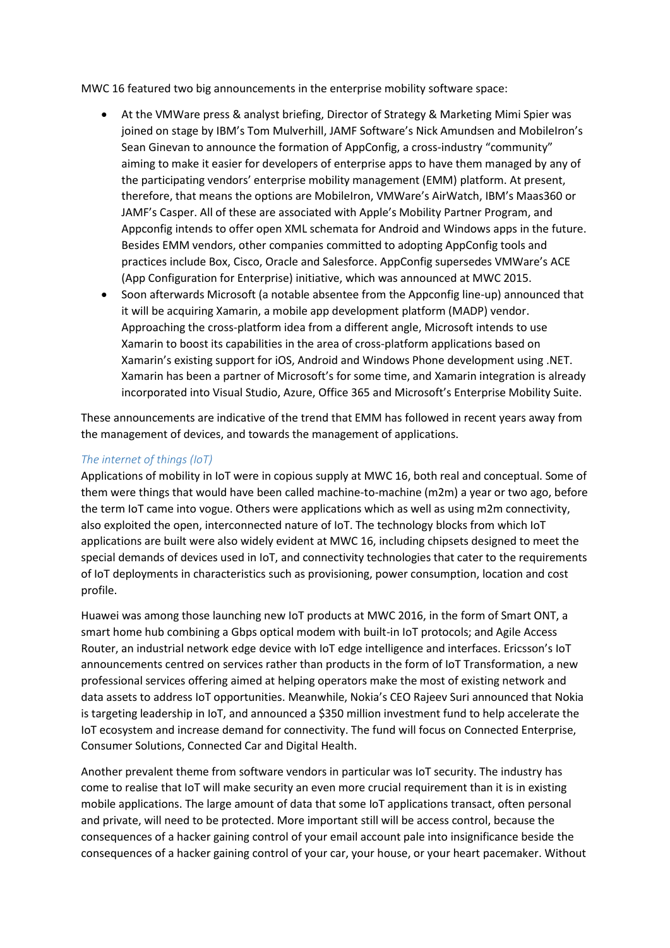MWC 16 featured two big announcements in the enterprise mobility software space:

- At the VMWare press & analyst briefing, Director of Strategy & Marketing Mimi Spier was joined on stage by IBM's Tom Mulverhill, JAMF Software's Nick Amundsen and MobileIron's Sean Ginevan to announce the formation of AppConfig, a cross-industry "community" aiming to make it easier for developers of enterprise apps to have them managed by any of the participating vendors' enterprise mobility management (EMM) platform. At present, therefore, that means the options are MobileIron, VMWare's AirWatch, IBM's Maas360 or JAMF's Casper. All of these are associated with Apple's Mobility Partner Program, and Appconfig intends to offer open XML schemata for Android and Windows apps in the future. Besides EMM vendors, other companies committed to adopting AppConfig tools and practices include Box, Cisco, Oracle and Salesforce. AppConfig supersedes VMWare's ACE (App Configuration for Enterprise) initiative, which was announced at MWC 2015.
- Soon afterwards Microsoft (a notable absentee from the Appconfig line-up) announced that it will be acquiring Xamarin, a mobile app development platform (MADP) vendor. Approaching the cross-platform idea from a different angle, Microsoft intends to use Xamarin to boost its capabilities in the area of cross-platform applications based on Xamarin's existing support for iOS, Android and Windows Phone development using .NET. Xamarin has been a partner of Microsoft's for some time, and Xamarin integration is already incorporated into Visual Studio, Azure, Office 365 and Microsoft's Enterprise Mobility Suite.

These announcements are indicative of the trend that EMM has followed in recent years away from the management of devices, and towards the management of applications.

# *The internet of things (IoT)*

Applications of mobility in IoT were in copious supply at MWC 16, both real and conceptual. Some of them were things that would have been called machine-to-machine (m2m) a year or two ago, before the term IoT came into vogue. Others were applications which as well as using m2m connectivity, also exploited the open, interconnected nature of IoT. The technology blocks from which IoT applications are built were also widely evident at MWC 16, including chipsets designed to meet the special demands of devices used in IoT, and connectivity technologies that cater to the requirements of IoT deployments in characteristics such as provisioning, power consumption, location and cost profile.

Huawei was among those launching new IoT products at MWC 2016, in the form of Smart ONT, a smart home hub combining a Gbps optical modem with built-in IoT protocols; and Agile Access Router, an industrial network edge device with IoT edge intelligence and interfaces. Ericsson's IoT announcements centred on services rather than products in the form of IoT Transformation, a new professional services offering aimed at helping operators make the most of existing network and data assets to address IoT opportunities. Meanwhile, Nokia's CEO Rajeev Suri announced that Nokia is targeting leadership in IoT, and announced a \$350 million investment fund to help accelerate the IoT ecosystem and increase demand for connectivity. The fund will focus on Connected Enterprise, Consumer Solutions, Connected Car and Digital Health.

Another prevalent theme from software vendors in particular was IoT security. The industry has come to realise that IoT will make security an even more crucial requirement than it is in existing mobile applications. The large amount of data that some IoT applications transact, often personal and private, will need to be protected. More important still will be access control, because the consequences of a hacker gaining control of your email account pale into insignificance beside the consequences of a hacker gaining control of your car, your house, or your heart pacemaker. Without